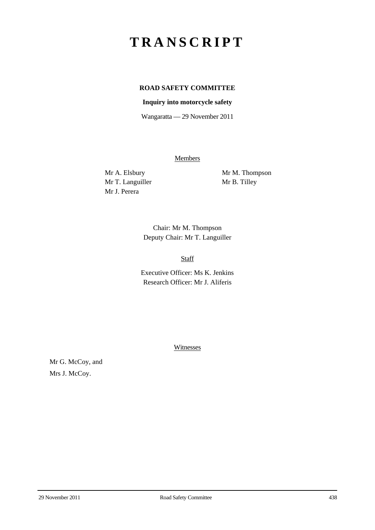## **TRANSCRIPT**

## **ROAD SAFETY COMMITTEE**

## **Inquiry into motorcycle safety**

Wangaratta — 29 November 2011

**Members** 

Mr T. Languiller Mr B. Tilley Mr J. Perera

Mr A. Elsbury Mr M. Thompson

Chair: Mr M. Thompson Deputy Chair: Mr T. Languiller

Staff

Executive Officer: Ms K. Jenkins Research Officer: Mr J. Aliferis

Witnesses

Mr G. McCoy, and Mrs J. McCoy.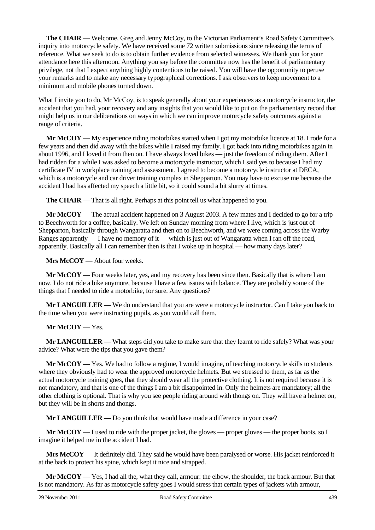**The CHAIR** — Welcome, Greg and Jenny McCoy, to the Victorian Parliament's Road Safety Committee's inquiry into motorcycle safety. We have received some 72 written submissions since releasing the terms of reference. What we seek to do is to obtain further evidence from selected witnesses. We thank you for your attendance here this afternoon. Anything you say before the committee now has the benefit of parliamentary privilege, not that I expect anything highly contentious to be raised. You will have the opportunity to peruse your remarks and to make any necessary typographical corrections. I ask observers to keep movement to a minimum and mobile phones turned down.

What I invite you to do, Mr McCoy, is to speak generally about your experiences as a motorcycle instructor, the accident that you had, your recovery and any insights that you would like to put on the parliamentary record that might help us in our deliberations on ways in which we can improve motorcycle safety outcomes against a range of criteria.

**Mr McCOY** — My experience riding motorbikes started when I got my motorbike licence at 18. I rode for a few years and then did away with the bikes while I raised my family. I got back into riding motorbikes again in about 1996, and I loved it from then on. I have always loved bikes — just the freedom of riding them. After I had ridden for a while I was asked to become a motorcycle instructor, which I said yes to because I had my certificate IV in workplace training and assessment. I agreed to become a motorcycle instructor at DECA, which is a motorcycle and car driver training complex in Shepparton. You may have to excuse me because the accident I had has affected my speech a little bit, so it could sound a bit slurry at times.

**The CHAIR** — That is all right. Perhaps at this point tell us what happened to you.

**Mr McCOY** — The actual accident happened on 3 August 2003. A few mates and I decided to go for a trip to Beechworth for a coffee, basically. We left on Sunday morning from where I live, which is just out of Shepparton, basically through Wangaratta and then on to Beechworth, and we were coming across the Warby Ranges apparently — I have no memory of it — which is just out of Wangaratta when I ran off the road, apparently. Basically all I can remember then is that I woke up in hospital — how many days later?

**Mrs McCOY** — About four weeks.

**Mr McCOY** — Four weeks later, yes, and my recovery has been since then. Basically that is where I am now. I do not ride a bike anymore, because I have a few issues with balance. They are probably some of the things that I needed to ride a motorbike, for sure. Any questions?

**Mr LANGUILLER** — We do understand that you are were a motorcycle instructor. Can I take you back to the time when you were instructing pupils, as you would call them.

## **Mr McCOY** — Yes.

**Mr LANGUILLER** — What steps did you take to make sure that they learnt to ride safely? What was your advice? What were the tips that you gave them?

**Mr McCOY** — Yes. We had to follow a regime, I would imagine, of teaching motorcycle skills to students where they obviously had to wear the approved motorcycle helmets. But we stressed to them, as far as the actual motorcycle training goes, that they should wear all the protective clothing. It is not required because it is not mandatory, and that is one of the things I am a bit disappointed in. Only the helmets are mandatory; all the other clothing is optional. That is why you see people riding around with thongs on. They will have a helmet on, but they will be in shorts and thongs.

**Mr LANGUILLER** — Do you think that would have made a difference in your case?

**Mr McCOY** — I used to ride with the proper jacket, the gloves — proper gloves — the proper boots, so I imagine it helped me in the accident I had.

**Mrs McCOY** — It definitely did. They said he would have been paralysed or worse. His jacket reinforced it at the back to protect his spine, which kept it nice and strapped.

**Mr McCOY** — Yes, I had all the, what they call, armour: the elbow, the shoulder, the back armour. But that is not mandatory. As far as motorcycle safety goes I would stress that certain types of jackets with armour,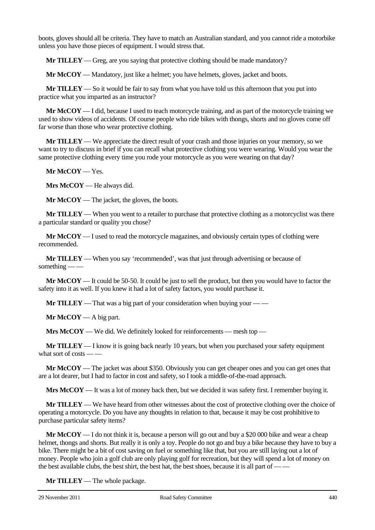boots, gloves should all be criteria. They have to match an Australian standard, and you cannot ride a motorbike unless you have those pieces of equipment. I would stress that.

**Mr TILLEY** — Greg, are you saying that protective clothing should be made mandatory?

**Mr McCOY** — Mandatory, just like a helmet; you have helmets, gloves, jacket and boots.

**Mr TILLEY** — So it would be fair to say from what you have told us this afternoon that you put into practice what you imparted as an instructor?

**Mr McCOY** — I did, because I used to teach motorcycle training, and as part of the motorcycle training we used to show videos of accidents. Of course people who ride bikes with thongs, shorts and no gloves come off far worse than those who wear protective clothing.

**Mr TILLEY** — We appreciate the direct result of your crash and those injuries on your memory, so we want to try to discuss in brief if you can recall what protective clothing you were wearing. Would you wear the same protective clothing every time you rode your motorcycle as you were wearing on that day?

**Mr McCOY** — Yes.

**Mrs McCOY** — He always did.

**Mr McCOY** — The jacket, the gloves, the boots.

**Mr TILLEY** — When you went to a retailer to purchase that protective clothing as a motorcyclist was there a particular standard or quality you chose?

**Mr McCOY** — I used to read the motorcycle magazines, and obviously certain types of clothing were recommended.

**Mr TILLEY** — When you say 'recommended', was that just through advertising or because of something  $-\frac{1}{2}$ 

**Mr McCOY** — It could be 50-50. It could be just to sell the product, but then you would have to factor the safety into it as well. If you knew it had a lot of safety factors, you would purchase it.

**Mr TILLEY** — That was a big part of your consideration when buying your — —

**Mr McCOY** — A big part.

**Mrs McCOY** — We did. We definitely looked for reinforcements — mesh top —

**Mr TILLEY** — I know it is going back nearly 10 years, but when you purchased your safety equipment what sort of costs  $\_\_\_$ 

**Mr McCOY** — The jacket was about \$350. Obviously you can get cheaper ones and you can get ones that are a lot dearer, but I had to factor in cost and safety, so I took a middle-of-the-road approach.

**Mrs McCOY** — It was a lot of money back then, but we decided it was safety first. I remember buying it.

**Mr TILLEY** — We have heard from other witnesses about the cost of protective clothing over the choice of operating a motorcycle. Do you have any thoughts in relation to that, because it may be cost prohibitive to purchase particular safety items?

**Mr McCOY** — I do not think it is, because a person will go out and buy a \$20 000 bike and wear a cheap helmet, thongs and shorts. But really it is only a toy. People do not go and buy a bike because they have to buy a bike. There might be a bit of cost saving on fuel or something like that, but you are still laying out a lot of money. People who join a golf club are only playing golf for recreation, but they will spend a lot of money on the best available clubs, the best shirt, the best hat, the best shoes, because it is all part of  $-\frac{1}{2}$ 

**Mr TILLEY** — The whole package.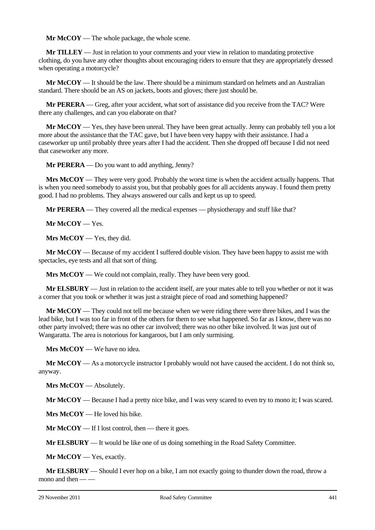**Mr McCOY** — The whole package, the whole scene.

**Mr TILLEY** — Just in relation to your comments and your view in relation to mandating protective clothing, do you have any other thoughts about encouraging riders to ensure that they are appropriately dressed when operating a motorcycle?

**Mr McCOY** — It should be the law. There should be a minimum standard on helmets and an Australian standard. There should be an AS on jackets, boots and gloves; there just should be.

**Mr PERERA** — Greg, after your accident, what sort of assistance did you receive from the TAC? Were there any challenges, and can you elaborate on that?

**Mr McCOY** — Yes, they have been unreal. They have been great actually. Jenny can probably tell you a lot more about the assistance that the TAC gave, but I have been very happy with their assistance. I had a caseworker up until probably three years after I had the accident. Then she dropped off because I did not need that caseworker any more.

**Mr PERERA** — Do you want to add anything, Jenny?

**Mrs McCOY** — They were very good. Probably the worst time is when the accident actually happens. That is when you need somebody to assist you, but that probably goes for all accidents anyway. I found them pretty good. I had no problems. They always answered our calls and kept us up to speed.

**Mr PERERA** — They covered all the medical expenses — physiotherapy and stuff like that?

**Mr McCOY** — Yes.

**Mrs McCOY** — Yes, they did.

**Mr McCOY** — Because of my accident I suffered double vision. They have been happy to assist me with spectacles, eye tests and all that sort of thing.

**Mrs McCOY** — We could not complain, really. They have been very good.

**Mr ELSBURY** — Just in relation to the accident itself, are your mates able to tell you whether or not it was a corner that you took or whether it was just a straight piece of road and something happened?

**Mr McCOY** — They could not tell me because when we were riding there were three bikes, and I was the lead bike, but I was too far in front of the others for them to see what happened. So far as I know, there was no other party involved; there was no other car involved; there was no other bike involved. It was just out of Wangaratta. The area is notorious for kangaroos, but I am only surmising.

**Mrs McCOY** — We have no idea.

**Mr McCOY** — As a motorcycle instructor I probably would not have caused the accident. I do not think so, anyway.

**Mrs McCOY** — Absolutely.

**Mr McCOY** — Because I had a pretty nice bike, and I was very scared to even try to mono it; I was scared.

**Mrs McCOY** — He loved his bike.

**Mr McCOY** — If I lost control, then — there it goes.

**Mr ELSBURY** — It would be like one of us doing something in the Road Safety Committee.

**Mr McCOY** — Yes, exactly.

**Mr ELSBURY** — Should I ever hop on a bike, I am not exactly going to thunder down the road, throw a mono and then  $-\frac{1}{x}$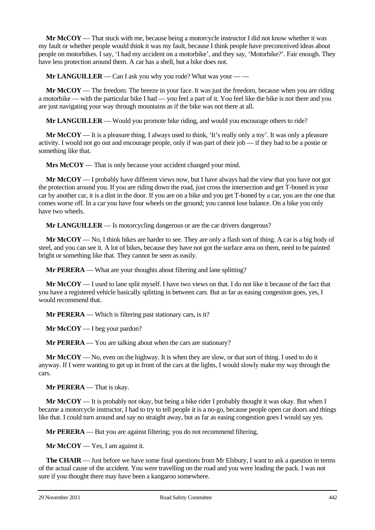**Mr McCOY** — That stuck with me, because being a motorcycle instructor I did not know whether it was my fault or whether people would think it was my fault, because I think people have preconceived ideas about people on motorbikes. I say, 'I had my accident on a motorbike', and they say, 'Motorbike?'. Fair enough. They have less protection around them. A car has a shell, but a bike does not.

**Mr LANGUILLER** — Can I ask you why you rode? What was your — —

**Mr McCOY** — The freedom. The breeze in your face. It was just the freedom, because when you are riding a motorbike — with the particular bike I had — you feel a part of it. You feel like the bike is not there and you are just navigating your way through mountains as if the bike was not there at all.

**Mr LANGUILLER** — Would you promote bike riding, and would you encourage others to ride?

**Mr McCOY** — It is a pleasure thing. I always used to think, 'It's really only a toy'. It was only a pleasure activity. I would not go out and encourage people, only if was part of their job — if they had to be a postie or something like that.

**Mrs McCOY** — That is only because your accident changed your mind.

**Mr McCOY** — I probably have different views now, but I have always had the view that you have not got the protection around you. If you are riding down the road, just cross the intersection and get T-boned in your car by another car, it is a dint in the door. If you are on a bike and you get T-boned by a car, you are the one that comes worse off. In a car you have four wheels on the ground; you cannot lose balance. On a bike you only have two wheels.

**Mr LANGUILLER** — Is motorcycling dangerous or are the car drivers dangerous?

**Mr McCOY** — No, I think bikes are harder to see. They are only a flash sort of thing. A car is a big body of steel, and you can see it. A lot of bikes, because they have not got the surface area on them, need to be painted bright or something like that. They cannot be seen as easily.

**Mr PERERA** — What are your thoughts about filtering and lane splitting?

**Mr McCOY** — I used to lane split myself. I have two views on that. I do not like it because of the fact that you have a registered vehicle basically splitting in between cars. But as far as easing congestion goes, yes, I would recommend that.

**Mr PERERA** — Which is filtering past stationary cars, is it?

**Mr McCOY** — I beg your pardon?

**Mr PERERA** — You are talking about when the cars are stationary?

**Mr McCOY** — No, even on the highway. It is when they are slow, or that sort of thing. I used to do it anyway. If I were wanting to get up in front of the cars at the lights, I would slowly make my way through the cars.

**Mr PERERA** — That is okay.

**Mr McCOY** — It is probably not okay, but being a bike rider I probably thought it was okay. But when I became a motorcycle instructor, I had to try to tell people it is a no-go, because people open car doors and things like that. I could turn around and say no straight away, but as far as easing congestion goes I would say yes.

**Mr PERERA** — But you are against filtering; you do not recommend filtering.

**Mr McCOY** — Yes, I am against it.

**The CHAIR** — Just before we have some final questions from Mr Elsbury, I want to ask a question in terms of the actual cause of the accident. You were travelling on the road and you were leading the pack. I was not sure if you thought there may have been a kangaroo somewhere.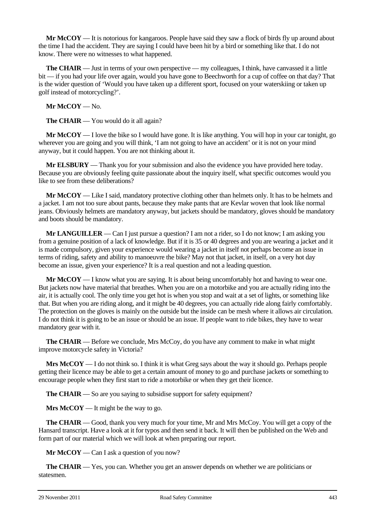**Mr McCOY** — It is notorious for kangaroos. People have said they saw a flock of birds fly up around about the time I had the accident. They are saying I could have been hit by a bird or something like that. I do not know. There were no witnesses to what happened.

**The CHAIR** — Just in terms of your own perspective — my colleagues, I think, have canvassed it a little bit — if you had your life over again, would you have gone to Beechworth for a cup of coffee on that day? That is the wider question of 'Would you have taken up a different sport, focused on your waterskiing or taken up golf instead of motorcycling?'.

**Mr McCOY** — No.

**The CHAIR** — You would do it all again?

**Mr McCOY** — I love the bike so I would have gone. It is like anything. You will hop in your car tonight, go wherever you are going and you will think, 'I am not going to have an accident' or it is not on your mind anyway, but it could happen. You are not thinking about it.

**Mr ELSBURY** — Thank you for your submission and also the evidence you have provided here today. Because you are obviously feeling quite passionate about the inquiry itself, what specific outcomes would you like to see from these deliberations?

**Mr McCOY** — Like I said, mandatory protective clothing other than helmets only. It has to be helmets and a jacket. I am not too sure about pants, because they make pants that are Kevlar woven that look like normal jeans. Obviously helmets are mandatory anyway, but jackets should be mandatory, gloves should be mandatory and boots should be mandatory.

**Mr LANGUILLER** — Can I just pursue a question? I am not a rider, so I do not know; I am asking you from a genuine position of a lack of knowledge. But if it is 35 or 40 degrees and you are wearing a jacket and it is made compulsory, given your experience would wearing a jacket in itself not perhaps become an issue in terms of riding, safety and ability to manoeuvre the bike? May not that jacket, in itself, on a very hot day become an issue, given your experience? It is a real question and not a leading question.

**Mr McCOY** — I know what you are saying. It is about being uncomfortably hot and having to wear one. But jackets now have material that breathes. When you are on a motorbike and you are actually riding into the air, it is actually cool. The only time you get hot is when you stop and wait at a set of lights, or something like that. But when you are riding along, and it might be 40 degrees, you can actually ride along fairly comfortably. The protection on the gloves is mainly on the outside but the inside can be mesh where it allows air circulation. I do not think it is going to be an issue or should be an issue. If people want to ride bikes, they have to wear mandatory gear with it.

**The CHAIR** — Before we conclude, Mrs McCoy, do you have any comment to make in what might improve motorcycle safety in Victoria?

**Mrs McCOY** — I do not think so. I think it is what Greg says about the way it should go. Perhaps people getting their licence may be able to get a certain amount of money to go and purchase jackets or something to encourage people when they first start to ride a motorbike or when they get their licence.

**The CHAIR** — So are you saying to subsidise support for safety equipment?

**Mrs McCOY** — It might be the way to go.

**The CHAIR** — Good, thank you very much for your time, Mr and Mrs McCoy. You will get a copy of the Hansard transcript. Have a look at it for typos and then send it back. It will then be published on the Web and form part of our material which we will look at when preparing our report.

**Mr McCOY** — Can I ask a question of you now?

**The CHAIR** — Yes, you can. Whether you get an answer depends on whether we are politicians or statesmen.